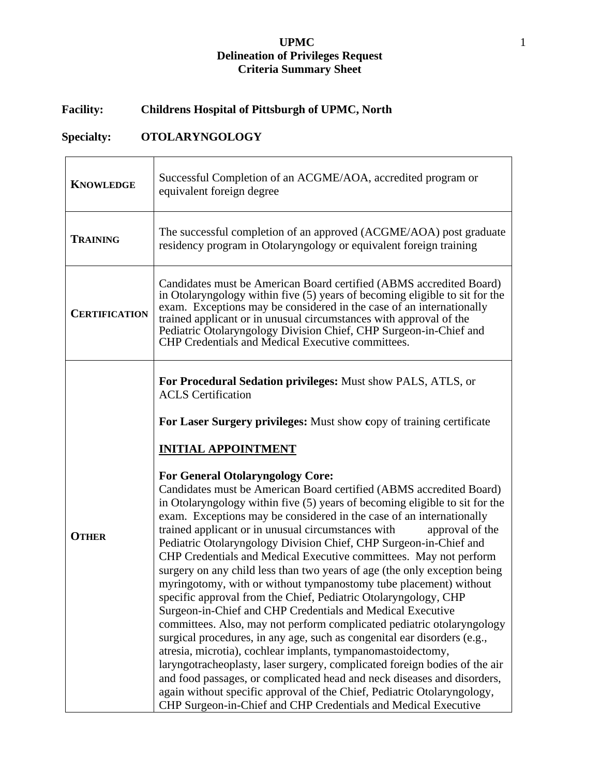## **UPMC** 1 **Delineation of Privileges Request Criteria Summary Sheet**

# **Facility: Childrens Hospital of Pittsburgh of UPMC, North**

# **Specialty: OTOLARYNGOLOGY**

| <b>KNOWLEDGE</b>     | Successful Completion of an ACGME/AOA, accredited program or<br>equivalent foreign degree                                                                                                                                                                                                                                                                                                                                                                                                                                                                                                                                                                                                                                                                                                                                                                                                                                                                                                                                                                                                                                                                                                                                                                                                                                                                                                                                                                                                                  |
|----------------------|------------------------------------------------------------------------------------------------------------------------------------------------------------------------------------------------------------------------------------------------------------------------------------------------------------------------------------------------------------------------------------------------------------------------------------------------------------------------------------------------------------------------------------------------------------------------------------------------------------------------------------------------------------------------------------------------------------------------------------------------------------------------------------------------------------------------------------------------------------------------------------------------------------------------------------------------------------------------------------------------------------------------------------------------------------------------------------------------------------------------------------------------------------------------------------------------------------------------------------------------------------------------------------------------------------------------------------------------------------------------------------------------------------------------------------------------------------------------------------------------------------|
| <b>TRAINING</b>      | The successful completion of an approved (ACGME/AOA) post graduate<br>residency program in Otolaryngology or equivalent foreign training                                                                                                                                                                                                                                                                                                                                                                                                                                                                                                                                                                                                                                                                                                                                                                                                                                                                                                                                                                                                                                                                                                                                                                                                                                                                                                                                                                   |
| <b>CERTIFICATION</b> | Candidates must be American Board certified (ABMS accredited Board)<br>in Otolaryngology within five (5) years of becoming eligible to sit for the<br>exam. Exceptions may be considered in the case of an internationally<br>trained applicant or in unusual circumstances with approval of the<br>Pediatric Otolaryngology Division Chief, CHP Surgeon-in-Chief and<br><b>CHP Credentials and Medical Executive committees.</b>                                                                                                                                                                                                                                                                                                                                                                                                                                                                                                                                                                                                                                                                                                                                                                                                                                                                                                                                                                                                                                                                          |
| <b>OTHER</b>         | For Procedural Sedation privileges: Must show PALS, ATLS, or<br><b>ACLS</b> Certification<br>For Laser Surgery privileges: Must show copy of training certificate<br><b>INITIAL APPOINTMENT</b><br><b>For General Otolaryngology Core:</b><br>Candidates must be American Board certified (ABMS accredited Board)<br>in Otolaryngology within five (5) years of becoming eligible to sit for the<br>exam. Exceptions may be considered in the case of an internationally<br>trained applicant or in unusual circumstances with<br>approval of the<br>Pediatric Otolaryngology Division Chief, CHP Surgeon-in-Chief and<br>CHP Credentials and Medical Executive committees. May not perform<br>surgery on any child less than two years of age (the only exception being<br>myringotomy, with or without tympanostomy tube placement) without<br>specific approval from the Chief, Pediatric Otolaryngology, CHP<br>Surgeon-in-Chief and CHP Credentials and Medical Executive<br>committees. Also, may not perform complicated pediatric otolaryngology<br>surgical procedures, in any age, such as congenital ear disorders (e.g.,<br>atresia, microtia), cochlear implants, tympanomastoidectomy,<br>laryngotracheoplasty, laser surgery, complicated foreign bodies of the air<br>and food passages, or complicated head and neck diseases and disorders,<br>again without specific approval of the Chief, Pediatric Otolaryngology,<br>CHP Surgeon-in-Chief and CHP Credentials and Medical Executive |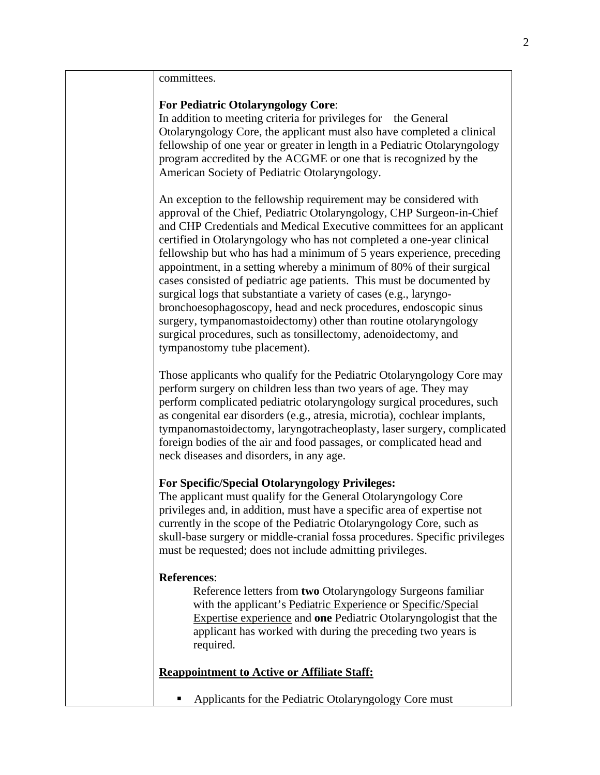committees.

### **For Pediatric Otolaryngology Core**:

In addition to meeting criteria for privileges for the General Otolaryngology Core, the applicant must also have completed a clinical fellowship of one year or greater in length in a Pediatric Otolaryngology program accredited by the ACGME or one that is recognized by the American Society of Pediatric Otolaryngology.

An exception to the fellowship requirement may be considered with approval of the Chief, Pediatric Otolaryngology, CHP Surgeon-in-Chief and CHP Credentials and Medical Executive committees for an applicant certified in Otolaryngology who has not completed a one-year clinical fellowship but who has had a minimum of 5 years experience, preceding appointment, in a setting whereby a minimum of 80% of their surgical cases consisted of pediatric age patients. This must be documented by surgical logs that substantiate a variety of cases (e.g., laryngobronchoesophagoscopy, head and neck procedures, endoscopic sinus surgery, tympanomastoidectomy) other than routine otolaryngology surgical procedures, such as tonsillectomy, adenoidectomy, and tympanostomy tube placement).

Those applicants who qualify for the Pediatric Otolaryngology Core may perform surgery on children less than two years of age. They may perform complicated pediatric otolaryngology surgical procedures, such as congenital ear disorders (e.g., atresia, microtia), cochlear implants, tympanomastoidectomy, laryngotracheoplasty, laser surgery, complicated foreign bodies of the air and food passages, or complicated head and neck diseases and disorders, in any age.

#### **For Specific/Special Otolaryngology Privileges:**

The applicant must qualify for the General Otolaryngology Core privileges and, in addition, must have a specific area of expertise not currently in the scope of the Pediatric Otolaryngology Core, such as skull-base surgery or middle-cranial fossa procedures. Specific privileges must be requested; does not include admitting privileges.

### **References**:

Reference letters from **two** Otolaryngology Surgeons familiar with the applicant's Pediatric Experience or Specific/Special Expertise experience and **one** Pediatric Otolaryngologist that the applicant has worked with during the preceding two years is required.

**Reappointment to Active or Affiliate Staff:**

• Applicants for the Pediatric Otolaryngology Core must